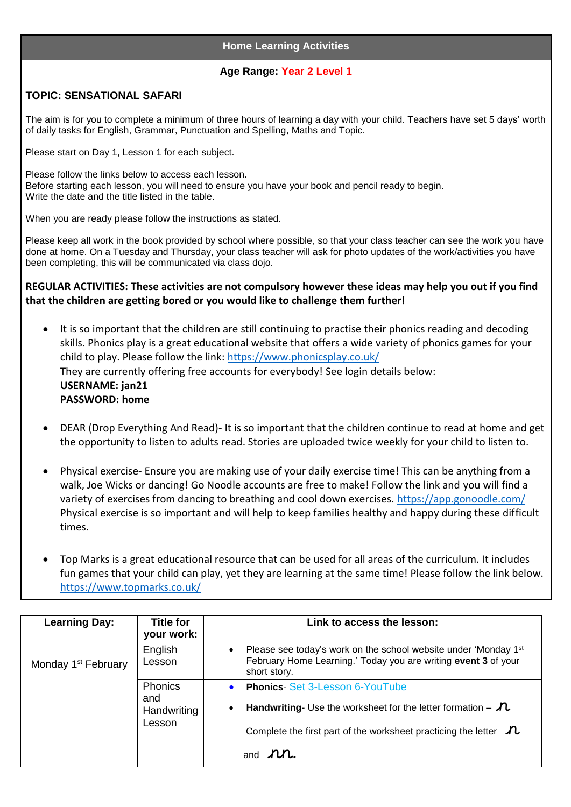## **Home Learning Activities**

## **Age Range: Year 2 Level 1**

## **TOPIC: SENSATIONAL SAFARI**

The aim is for you to complete a minimum of three hours of learning a day with your child. Teachers have set 5 days' worth of daily tasks for English, Grammar, Punctuation and Spelling, Maths and Topic.

Please start on Day 1, Lesson 1 for each subject.

Please follow the links below to access each lesson. Before starting each lesson, you will need to ensure you have your book and pencil ready to begin. Write the date and the title listed in the table.

When you are ready please follow the instructions as stated.

Please keep all work in the book provided by school where possible, so that your class teacher can see the work you have done at home. On a Tuesday and Thursday, your class teacher will ask for photo updates of the work/activities you have been completing, this will be communicated via class dojo.

**REGULAR ACTIVITIES: These activities are not compulsory however these ideas may help you out if you find that the children are getting bored or you would like to challenge them further!**

- It is so important that the children are still continuing to practise their phonics reading and decoding skills. Phonics play is a great educational website that offers a wide variety of phonics games for your child to play. Please follow the link:<https://www.phonicsplay.co.uk/> They are currently offering free accounts for everybody! See login details below: **USERNAME: jan21 PASSWORD: home**
- DEAR (Drop Everything And Read)- It is so important that the children continue to read at home and get the opportunity to listen to adults read. Stories are uploaded twice weekly for your child to listen to.
- Physical exercise- Ensure you are making use of your daily exercise time! This can be anything from a walk, Joe Wicks or dancing! Go Noodle accounts are free to make! Follow the link and you will find a variety of exercises from dancing to breathing and cool down exercises.<https://app.gonoodle.com/> Physical exercise is so important and will help to keep families healthy and happy during these difficult times.
- Top Marks is a great educational resource that can be used for all areas of the curriculum. It includes fun games that your child can play, yet they are learning at the same time! Please follow the link below. <https://www.topmarks.co.uk/>

| <b>Learning Day:</b>            | <b>Title for</b><br>your work:                 | Link to access the lesson:                                                                                                                                     |
|---------------------------------|------------------------------------------------|----------------------------------------------------------------------------------------------------------------------------------------------------------------|
| Monday 1 <sup>st</sup> February | English<br>Lesson                              | Please see today's work on the school website under 'Monday 1st<br>$\bullet$<br>February Home Learning.' Today you are writing event 3 of your<br>short story. |
|                                 | <b>Phonics</b><br>and<br>Handwriting<br>Lesson | <b>Phonics-Set 3-Lesson 6-YouTube</b><br><b>Handwriting-</b> Use the worksheet for the letter formation $-\lambda$<br>$\bullet$                                |
|                                 |                                                | Complete the first part of the worksheet practicing the letter $\Lambda$<br>and $\mathcal{M}$ .                                                                |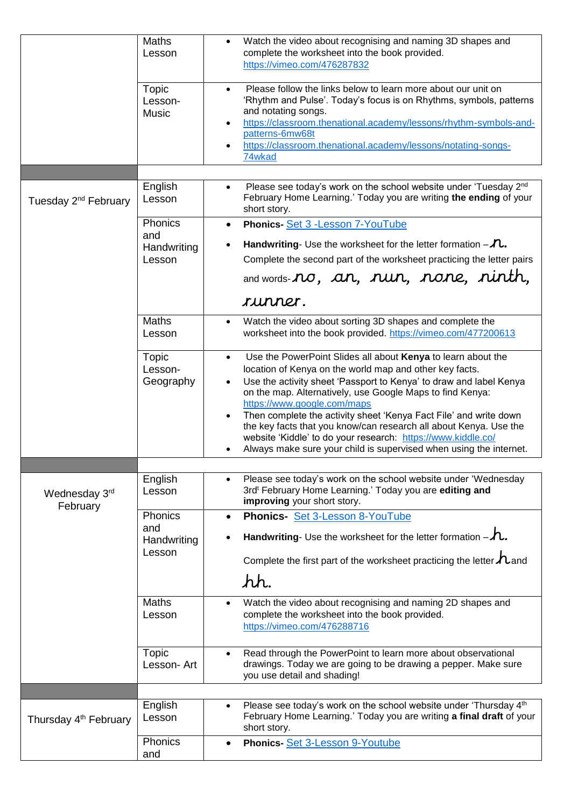|                                   | <b>Maths</b><br>Lesson                  | Watch the video about recognising and naming 3D shapes and<br>$\bullet$<br>complete the worksheet into the book provided.<br>https://vimeo.com/476287832                                                                                                                                                                                                                                                                                                                                                                                                                                                         |
|-----------------------------------|-----------------------------------------|------------------------------------------------------------------------------------------------------------------------------------------------------------------------------------------------------------------------------------------------------------------------------------------------------------------------------------------------------------------------------------------------------------------------------------------------------------------------------------------------------------------------------------------------------------------------------------------------------------------|
|                                   | <b>Topic</b><br>Lesson-<br><b>Music</b> | Please follow the links below to learn more about our unit on<br>'Rhythm and Pulse'. Today's focus is on Rhythms, symbols, patterns<br>and notating songs.<br>https://classroom.thenational.academy/lessons/rhythm-symbols-and-<br>patterns-6mw68t<br>https://classroom.thenational.academy/lessons/notating-songs-<br>74wkad                                                                                                                                                                                                                                                                                    |
|                                   |                                         |                                                                                                                                                                                                                                                                                                                                                                                                                                                                                                                                                                                                                  |
| Tuesday 2 <sup>nd</sup> February  | English<br>Lesson                       | Please see today's work on the school website under 'Tuesday 2nd<br>$\bullet$<br>February Home Learning.' Today you are writing the ending of your<br>short story.                                                                                                                                                                                                                                                                                                                                                                                                                                               |
|                                   | Phonics<br>and<br>Handwriting           | Phonics-Set 3 - Lesson 7-YouTube<br>$\bullet$<br><b>Handwriting-</b> Use the worksheet for the letter formation $-\lambda$ .                                                                                                                                                                                                                                                                                                                                                                                                                                                                                     |
|                                   | Lesson                                  | Complete the second part of the worksheet practicing the letter pairs<br>and words- <b>no</b> , an, nun, none, ninth,                                                                                                                                                                                                                                                                                                                                                                                                                                                                                            |
|                                   |                                         | runner.                                                                                                                                                                                                                                                                                                                                                                                                                                                                                                                                                                                                          |
|                                   | <b>Maths</b><br>Lesson                  | Watch the video about sorting 3D shapes and complete the<br>$\bullet$<br>worksheet into the book provided. https://vimeo.com/477200613                                                                                                                                                                                                                                                                                                                                                                                                                                                                           |
|                                   | Topic<br>Lesson-<br>Geography           | Use the PowerPoint Slides all about Kenya to learn about the<br>$\bullet$<br>location of Kenya on the world map and other key facts.<br>Use the activity sheet 'Passport to Kenya' to draw and label Kenya<br>$\bullet$<br>on the map. Alternatively, use Google Maps to find Kenya:<br>https://www.google.com/maps<br>Then complete the activity sheet 'Kenya Fact File' and write down<br>$\bullet$<br>the key facts that you know/can research all about Kenya. Use the<br>website 'Kiddle' to do your research: https://www.kiddle.co/<br>Always make sure your child is supervised when using the internet. |
|                                   |                                         |                                                                                                                                                                                                                                                                                                                                                                                                                                                                                                                                                                                                                  |
| Wednesday 3rd<br>February         | English<br>Lesson                       | Please see today's work on the school website under 'Wednesday<br>3rd <sup>t</sup> February Home Learning.' Today you are editing and<br>improving your short story.                                                                                                                                                                                                                                                                                                                                                                                                                                             |
|                                   | Phonics<br>and                          | Phonics- Set 3-Lesson 8-YouTube                                                                                                                                                                                                                                                                                                                                                                                                                                                                                                                                                                                  |
|                                   | Handwriting<br>Lesson                   | Handwriting- Use the worksheet for the letter formation $-\lambda$ .                                                                                                                                                                                                                                                                                                                                                                                                                                                                                                                                             |
|                                   |                                         | Complete the first part of the worksheet practicing the letter $\Lambda$ and                                                                                                                                                                                                                                                                                                                                                                                                                                                                                                                                     |
|                                   |                                         | hh.                                                                                                                                                                                                                                                                                                                                                                                                                                                                                                                                                                                                              |
|                                   | <b>Maths</b><br>Lesson                  | Watch the video about recognising and naming 2D shapes and<br>complete the worksheet into the book provided.<br>https://vimeo.com/476288716                                                                                                                                                                                                                                                                                                                                                                                                                                                                      |
|                                   | <b>Topic</b><br>Lesson- Art             | Read through the PowerPoint to learn more about observational<br>drawings. Today we are going to be drawing a pepper. Make sure<br>you use detail and shading!                                                                                                                                                                                                                                                                                                                                                                                                                                                   |
|                                   |                                         |                                                                                                                                                                                                                                                                                                                                                                                                                                                                                                                                                                                                                  |
| Thursday 4 <sup>th</sup> February | English<br>Lesson                       | Please see today's work on the school website under 'Thursday 4th<br>February Home Learning.' Today you are writing a final draft of your<br>short story.                                                                                                                                                                                                                                                                                                                                                                                                                                                        |
|                                   | Phonics<br>and                          | Phonics-Set 3-Lesson 9-Youtube<br>$\bullet$                                                                                                                                                                                                                                                                                                                                                                                                                                                                                                                                                                      |